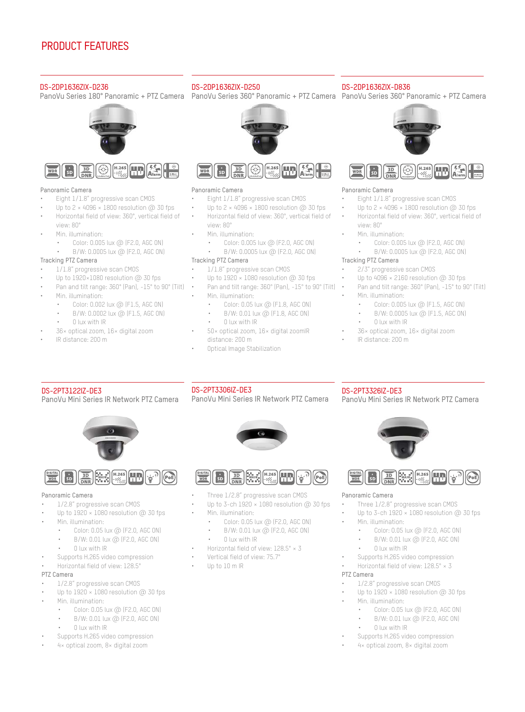

**HIKVISION®** 

**PanoVu**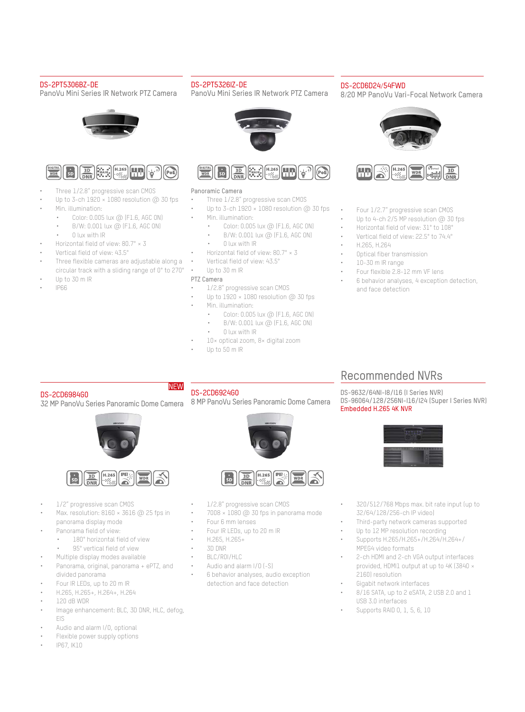

# WHAT IS THE PANOVU CAMERA?

When designing surveillance applications, more and greater requirements have become necessary for monitoring large areas such as public plazas, arenas, airports, busy traffic intersections, and the like. In very large settings, security personnel need to see more with just one camera – not just a panoramic image, but zoomed-in, detailed views as well.

With that in mind, Hikvision designed the PanoVu Series all-in-one cameras to capture both excellent panorama and close-up details. Panoramic images are captured with multiple sensors, rendering 180° or 360° panoramic imaging with real-time ultra-HD resolution. The integrated design and high-speed pan-tilt-zoom action grants the user swift positioning over expansive areas with the power to bring sharp details into focus. At the same time, the PanoVu Series Cameras utilize Hikvision's ultra-low light Darkfighter technology, making colored images possible in poorly lit environments.

Now, new additions to the PanoVu product family feature high definition panoramic view camera – up to 32 MP – as well as supplemental IR & panoramic lighting for clear images in extremely dark environment, and an amazing wide tilt angle. And, because panoramic cameras demand more bandwidth and storage than conventional cameras, Hikvision designed the PanoVu cameras to utilize H.265+ technology, making the most efficient use of video transmission and storage.

PanoVu Mini Series cameras are new members to the Hikvision PanoVu product family. They feature compact sizes, affordable prices, and ease of installation and use, while keeping all the market-proven features of PanoVu cameras such as high edge definition, low image distortion, and powerful PTZ functions. They are used in a wide range of scenarios, indoor and outdoor.

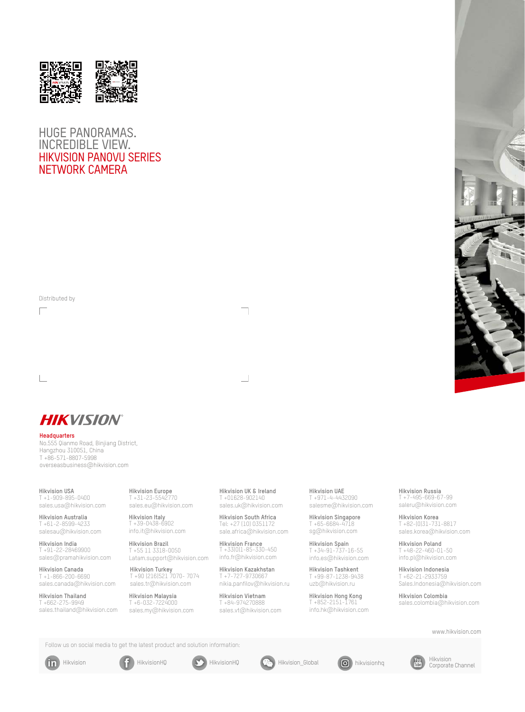# A SIMPLE SYSTEM FOR AN EASY INSTALLATION

With an "all-in-one" design, a single product serves as a system that enables front-end splicing and delivers both panorama and every detail through full shot (180° or 360°) and close-up shot without using any additional server. You can enjoy a simple and time-saving installation and maintenance. The product allows for a quick installation as dome camera does—all you need are a cable and a power supply. Characterized by a flexibility and ease of operation, it provides a full range of options in the user interface to offer a panorama in the ultrahigh-resolution scene while capturing the details dynamically in realtime. You can zoom in an image to its center to see the close-up details just by clicking on the image.



# PANORAMIC VIEWS AND FINER PICTURES

Combining several built-in horizontal cameras with PTZ power, one PanoVu camera captures 360° or 180° panoramic images as well as close-up images with up to 50x optical zoom. These cameras provide high-resolution images with more detail. Note, too, that the panoramic images are stitched together within the camera itself, so users will not need another server or add-on to enjoy full use of the cameras.



360° Overview + 50x PTZ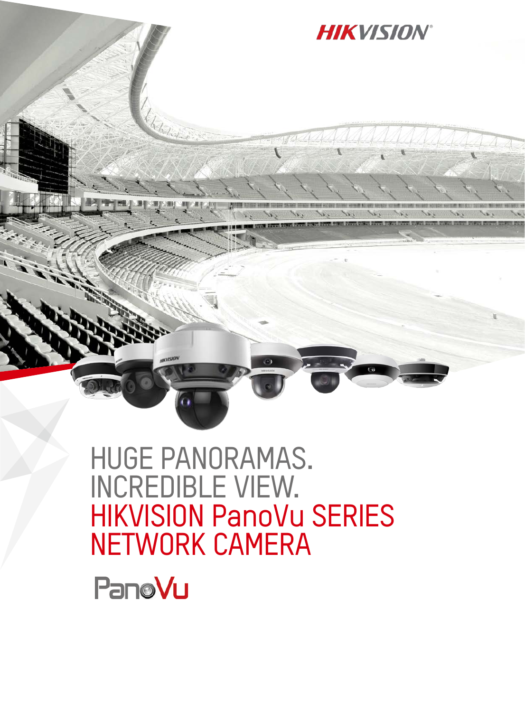# DarkFighter ULTRA-LOW-LIGHT TECHNOLOGY AND SUPPLEMENTAL LIGHTING

All fixed and zoom lenses of PanoVu cameras utilize Hikvision DarkFighter ultra-low-light technology. Therefore, whether you are viewing 180° or 360° panoramic images or PTZ close-up images, each one can render colored images in very low-light environments down to 0.002 lux.

Supplemental lighting significantly improves image quality in extremely dark environment. But with a panoramic camera, it's difficult for supplemental light to reach the same angle as the lens. Hikvision's advanced PanoVu cameras, however, feature wide-angle supplemental light, perfectly matching the angle of the lens and bringing vivid images to life.



## SMART CODEC – H.265+ OPTIMIZED COMPRESSION

PanoVu Series Cameras also feature Hikvision's H.265+ technology, reducing bandwidth and storage requirements by an average of 70% or more while maintaining consistent resolution, framerates, and detail. It's an efficient way to manage super high resolution video footages.



24-Hour recording file size (GB) comparing H.264, H.265, and H.265+ \*Data was tested in a common scene; for reference only.

## SMART FUNCTIONS

With advanced video analysis and multi-target tracking algorithms select, PanoVu Cameras also feature a wide range of smart functions in panoramic mode, including intrusion detection, line crossing detection, and region entrance and exiting detection. The PanoVus can also send alarm signals linked to the PTZ for tracking, greatly improving security efficiency.

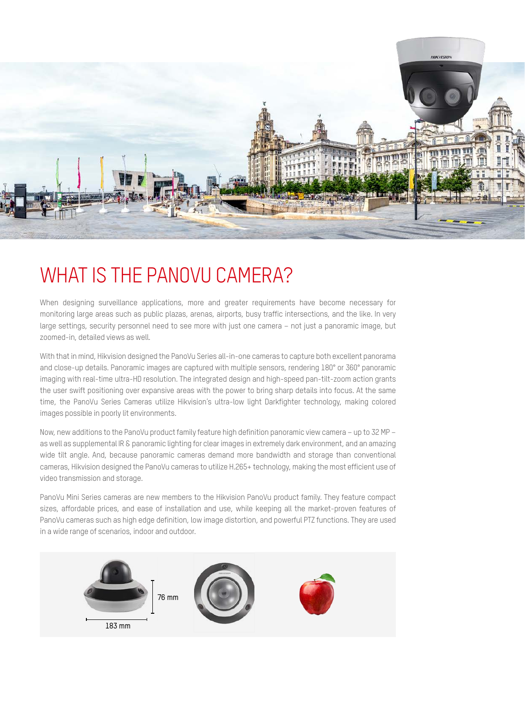# APPLICATION SCENARIOS

With intelligent and powerful features, the PanoVu Series Cameras can be used extensively, including applications like airports, transit stations, gymnasiums, scenic ports, and public squares needing a wide range of monitoring.



# PRODUCT FEATURES

#### DS-2DP0818ZIX-D236

PanoVu Series 180° Panoramic + PTZ Camera PanoVu Series 180° Panoramic + PTZ Camera PanoVu Series 180° Panoramic + PTZ Camera





#### Panoramic Camera

- Four 1/1.8" progressive scan CMOS
- Up to  $4096 \times 1800$  resolution @ 30 fps
- Horizontal field of view: 180°, vertical field of view: 80°
- Min. illumination:
	- Color: 0.005 lux @ (F2.0, AGC ON)
	- B/W: 0.0005 lux @ (F2.0, AGC ON)

#### Tracking PTZ Camera

- 1/1.8" progressive scan CMOS
- Up to  $1920 \times 1080$  resolution  $\omega$  30 fps
- Pan and tilt range: 360° (Pan), -15° to 90° (Tilt)
- Min. illumination:
	- Color: 0.002 lux @ (F1.5, AGC ON)
	- B/W: 0.0002 lux @ (F1.5, AGC ON)
	- 0 lux with IR
- 36× optical zoom, 16× digital zoom
- IR distance: 200 m

#### DS-2DP0818ZIX-D250



#### 四条  $\sqrt{\frac{3D}{DNR}}$  $H.265$  $\mathbf{s}$

#### Panoramic Camera

- Four 1/1.8" progressive scan CMOS
- Up to  $4096 \times 1800$  resolution @ 30 fps
- Horizontal field of view: 180°, vertical field of view: 80°
- Min. illumination:
	- Color: 0.005 lux @ (F2.0, AGC ON)
	- B/W: 0.0005 lux @ (F2.0, AGC ON)

#### Tracking PTZ Camera

- 1/2.8"progressive scan CMOS
- Up to  $1920 \times 1080$  resolution @ 30 fps
- Pan and tilt range: 360° (Pan), -15° to 90° (Tilt) •
- Min. illumination:
	- Color: 0.05 lux @ (F1.8, AGC ON)
	- B/W: 0.01 lux @ (F1.8, AGC ON)
	- 0 lux with IR
- 50× optical zoom, 16× digital zoom
- IR distance: 200 m
- Optical Image Stabilization



#### Panoramic Camera

- Four 1/1.8" progressive scan CMOS
- Up to  $4096 \times 1800$  resolution @ 30 fps
- Horizontal field of view: 180°, vertical field of view: 80°
	- Min. illumination:
	- Color: 0.005 lux @ (F2.0, AGC ON)
	- B/W: 0.0005 lux @ (F2.0, AGC ON)

#### Tracking PTZ Camera

- 2/3" progressive scan CMOS
- Up to  $4096 \times 2160$  resolution @ 30 fps
- Pan and tilt range: 360° (Pan), -15° to 90° (Tilt)
- Min. illumination:
	- Color: 0.005 lux @ (F1.5, AGC ON)
	- B/W: 0.0005 lux @ (F1.5, AGC ON)
	- 0 lux with IR
- 36× optical zoom, 16× digital zoom
- IR distance: 200 m



DS-2DP0818ZIX-D836



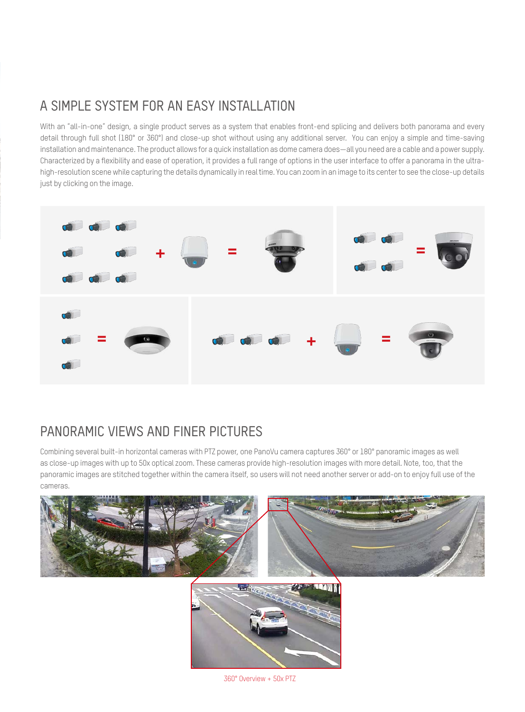#### DS-2DP1636ZIX-D236



#### ,<br>Н. 265 (yn  $\overline{3D}$

#### Panoramic Camera

- Eight 1/1.8" progressive scan CMOS
- Un to  $2 \times 4096 \times 1800$  resolution  $\textcircled{a}$  30 fps
- Horizontal field of view: 360°, vertical field of
- view: 80°
	- Min. illumination:
		- Color: 0.005 lux @ (F2.0, AGC ON) • B/W: 0.0005 lux @ (F2.0, AGC ON)

### Tracking PTZ Camera

- 1/1.8" progressive scan CMOS
- Up to  $1920 \times 1080$  resolution  $\textcircled{a}$  30 fps
- Pan and tilt range: 360° (Pan), -15° to 90° (Tilt)
- Min. illumination:
	- Color: 0.002 lux @ (F1.5, AGC ON)
	- B/W: 0.0002 lux @ (F1.5, AGC ON)
- 0 lux with IR
- 36× optical zoom, 16× digital zoom
- IR distance: 200 m

#### DS-2DP1636ZIX-D250

#### DS-2DP1636ZIX-D836

PanoVu Series 180° Panoramic + PTZ Camera PanoVu Series 360° Panoramic + PTZ Camera PanoVu Series 360° Panoramic + PTZ Camera





#### Panoramic Camera

- Eight 1/1.8" progressive scan CMOS
- Up to  $2 \times 4096 \times 1800$  resolution  $\omega$  30 fps
- Horizontal field of view: 360°, vertical field of view: 80°
- Min. illumination:
	- Color: 0.005 lux @ (F2.0, AGC ON)
	-

### • B/W: 0.0005 lux @ (F2.0, AGC ON)

#### Tracking PTZ Camera

- 1/1.8" progressive scan CMOS
- Up to 1920  $\times$  1080 resolution  $\omega$  30 fps
- Pan and tilt range: 360° (Pan), -15° to 90° (Tilt)
	- Min. illumination:
	- Color: 0.05 lux @ (F1.8, AGC ON)
	- B/W: 0.01 lux @ (F1.8, AGC ON)
		- 0 lux with IR
- 50× optical zoom, 16× digital zoomIR distance: 200 m
- Optical Image Stabilization



#### Panoramic Camera

- Eight 1/1.8" progressive scan CMOS
- Up to  $2 \times 4096 \times 1800$  resolution  $\omega$  30 fps
- Horizontal field of view: 360°, vertical field of
- view: 80°
- Min. illumination:
	- Color: 0.005 lux @ (F2.0, AGC ON)
	- B/W: 0.0005 lux @ (F2.0, AGC ON)

### Tracking PTZ Camera

- 2/3" progressive scan CMOS
- Up to  $4096 \times 2160$  resolution  $\textcircled{a}$  30 fps • Pan and tilt range: 360° (Pan), -15° to 90° (Tilt)
- Min. illumination:
	- Color: 0.005 lux @ (F1.5, AGC ON)
- B/W: 0.0005 lux @ (F1.5, AGC ON)

PanoVu Mini Series IR Network PTZ Camera

Three  $1/2.8"$  progressive scan CMOS Up to 3-ch 1920  $\times$  1080 resolution @ 30 fps

**ED** AM H265 HD

• Color: 0.05 lux @ (F2.0, AGC ON) • B/W: 0.01 lux @ (F2.0, AGC ON)

• Supports H.265 video compression • Horizontal field of view: 128.5° × 3

• Supports H.265 video compression • 4× optical zoom, 8× digital zoom

• Color: 0.05 lux @ (F2.0, AGC ON) • B/W: 0.01 lux @ (F2.0, AGC ON)

1/2.8" progressive scan CMOS Up to  $1920 \times 1080$  resolution @ 30 fps

- 0 lux with IR
- 36× optical zoom, 16× digital zoom
- IR distance: 200 m

DS-2PT3326IZ-DE3

Panoramic Camera

 $\mathbf{S}$ 

PTZ Camera

• Min. illumination:

• 0 lux with IR

• Min. illumination:

• 0 lux with IR

#### DS-2PT3122IZ-DE3

PanoVu Mini Series IR Network PTZ Camera



#### **ED** BIR  $\left[\begin{matrix} 1 & 0 \\ 0 & 0 \\ 0 & 0 \end{matrix}\right]$   $\left[\begin{matrix} 1 & 0 \\ 0 & 0 \\ 0 & 0 \end{matrix}\right]$  $\begin{bmatrix} \Phi_1 \end{bmatrix}$ k.

#### Panoramic Camera

- 1/2.8" progressive scan CMOS
- Up to  $1920 \times 1080$  resolution @ 30 fps
- Min. illumination:
	- Color: 0.05 lux @ (F2.0, AGC ON)
	- B/W: 0.01 lux @ (F2.0, AGC ON)
	- 0 lux with IR
- Supports H.265 video compression
- Horizontal field of view: 128.5°

#### PTZ Camera

- 1/2.8" progressive scan CMOS
- Up to  $1920 \times 1080$  resolution @ 30 fps
- Min. illumination:
	- Color: 0.05 lux @ (F2.0, AGC ON)
	- B/W: 0.01 lux @ (F2.0, AGC ON)
	- 0 lux with IR
- Supports H.265 video compression
- 4× optical zoom, 8× digital zoom

## DS-2PT3306IZ-DE3

#### PanoVu Mini Series IR Network PTZ Camera



# $\frac{3D}{DNR}$

- Three  $1/2.8''$  progressive scan CMOS
- Up to 3-ch 1920  $\times$  1080 resolution @ 30 fps
- Min. illumination:
- Color: 0.05 lux @ (F2.0, AGC ON)
	- B/W: 0.01 lux @ (F2.0, AGC ON)
- 0 lux with IR
- Horizontal field of view: 128.5° × 3
- Vertical field of view: 75.7°
- Up to 10 m IR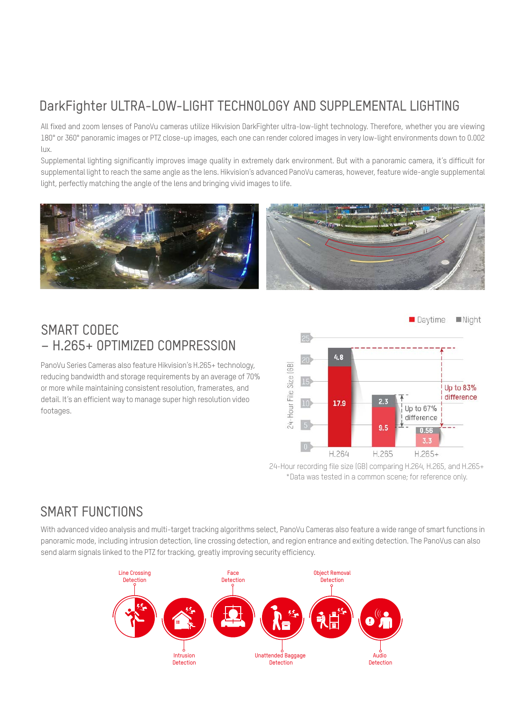#### DS-2PT5306BZ-DE

PanoVu Mini Series IR Network PTZ Camera





- Three  $1/2.8$ " progressive scan CMOS
- Up to 3-ch 1920  $\times$  1080 resolution @ 30 fps
- Min. illumination:
	- Color: 0.005 lux @ (F1.6, AGC ON)
	- B/W: 0.001 lux @ (F1.6, AGC ON)
	- 0 lux with IR
- Horizontal field of view: 80.7° × 3
- Vertical field of view: 43.5°
- Three flexible cameras are adjustable along a circular track with a sliding range of 0° to 270°
- Up to 30 m IR
- IP66



PanoVu Mini Series IR Network PTZ Camera





#### Panoramic Camera

- Three 1/2.8" progressive scan CMOS
- Up to 3-ch  $1920 \times 1080$  resolution @ 30 fps
- Min. illumination:
	- Color: 0.005 lux @ (F1.6, AGC ON)
	- B/W: 0.001 lux @ (F1.6, AGC ON)
		- 0 lux with IR
- Horizontal field of view: 80.7° × 3
- Vertical field of view: 43.5°
- Up to 30 m IR

#### PTZ Camera

- 1/2.8" progressive scan CMOS
- Up to  $1920 \times 1080$  resolution @ 30 fps
	- Min. illumination:
		- Color: 0.005 lux @ (F1.6, AGC ON)
		- B/W: 0.001 lux @ (F1.6, AGC ON)
		- 0 lux with IR
- 10× optical zoom, 8× digital zoom
- Up to 50 m IR



8/20 MP PanoVu Vari-Focal Network Camera



- Four 1/2.7" progressive scan CMOS
- Up to 4-ch  $2/5$  MP resolution  $\omega$  30 fps
- Horizontal field of view: 31° to 108°
- Vertical field of view: 22.5° to 74.4°
- H.265, H.264

DS-2CD6D24/54FWD

- Optical fiber transmission
- 10-30 m IR range
- Four flexible 2.8-12 mm VF lens • 6 behavior analyses, 4 exception detection,
- and face detection

#### DS-2CD6984G0

32 MP PanoVu Series Panoramic Dome Camera



- 1/2" progressive scan CMOS
- Max. resolution: 8160 × 3616 @ 25 fps in panorama display mode
- Panorama field of view:
	- 180° horizontal field of view
	- 95° vertical field of view
	- Multiple display modes available
- Panorama, original, panorama + ePTZ, and divided panorama
- Four IR LEDs, up to 20 m IR
- H.265, H.265+, H.264+, H.264
- 120 dB WDR
- 
- Image enhancement: BLC, 3D DNR, HLC, defog, EIS
- Audio and alarm I/O, optional
- Flexible power supply options
- IP67, IK10

**NEW** 

8 MP PanoVu Series Panoramic Dome Camera



# Recommended NVRs

DS-9632/64NI-I8/I16 (I Series NVR) DS-96064/128/256NI-I16/I24 (Super I Series NVR) Embedded H.265 4K NVR



- 320/512/768 Mbps max. bit rate input (up to 32/64/128/256-ch IP video)
- Third-party network cameras supported
- Up to 12 MP resolution recording
- Supports H.265/H.265+/H.264/H.264+/ MPEG4 video formats
- 2-ch HDMI and 2-ch VGA output interfaces provided, HDMI1 output at up to 4K (3840 × 2160) resolution
- Gigabit network interfaces
- 8/16 SATA, up to 2 eSATA, 2 USB 2.0 and 1 USB 3.0 interfaces
- Supports RAID 0, 1, 5, 6, 10
- 1/2.8" progressive scan CMOS  $7008 \times 1080$  @ 30 fps in panorama mode • Four 6 mm lenses • Four IR LEDs, up to 20 m IR
- H.265, H.265+
- 3D DNR
- BLC/ROI/HLC
- Audio and alarm I/O (-S)
- 6 behavior analyses, audio exception detection and face detection